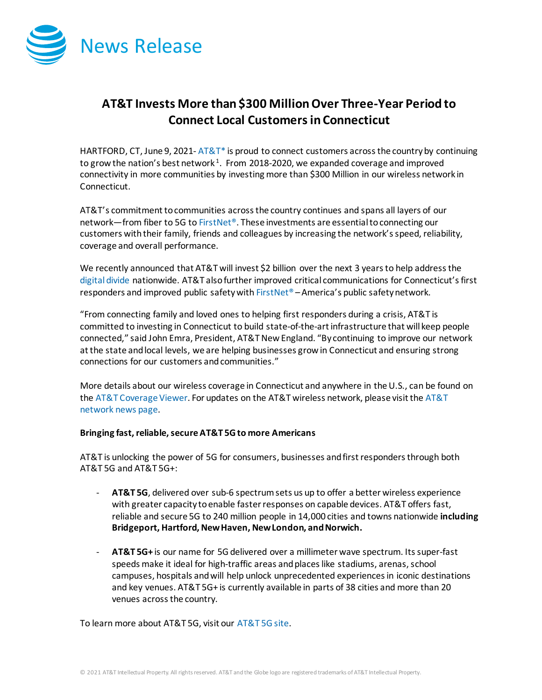

# **AT&T Invests More than \$300 Million Over Three-Year Period to Connect Local Customersin Connecticut**

HARTFORD, CT, June 9, 2021-  $AT&T^*$  is proud to connect customers across the country by continuing to grow the nation's best network<sup>1</sup>. From 2018-2020, we expanded coverage and improved connectivity in more communities by investing more than \$300 Million in our wireless network in Connecticut.

AT&T's commitment to communities across the country continues and spans all layers of our network—from fiber to 5G t[o FirstNet®](http://www.firstnet.com/). These investments are essential to connecting our customers with their family, friends and colleagues by increasing the network's speed, reliability, coverage and overall performance.

We recently announced that AT&T will invest \$2 billion over the next 3 years to help address the [digital divide](https://about.att.com/story/2021/digital_divide.html) nationwide. AT&T also further improved critical communications for Connecticut's first responders and improved public safety wit[h FirstNet®](http://www.firstnet.com/) – America's public safety network.

"From connecting family and loved ones to helping first responders during a crisis, AT&T is committed to investing in Connecticut to build state-of-the-art infrastructure that will keep people connected," said John Emra, President, AT&T New England. "By continuing to improve our network at the state and local levels, we are helping businesses grow in Connecticut and ensuring strong connections for our customers and communities."

More details about our wireless coverage in Connecticut and anywhere in the U.S., can be found on th[e AT&T Coverage Viewer.](https://www.att.com/maps/wireless-coverage.html) For updates on the AT&T wireless network, please visit th[e AT&T](https://about.att.com/innovation/network_and_field_operations)  [network news page.](https://about.att.com/innovation/network_and_field_operations)

## **Bringing fast, reliable, secure AT&T 5G to more Americans**

AT&T is unlocking the power of 5G for consumers, businesses and first responders through both AT&T 5G and AT&T 5G+:

- AT&T 5G, delivered over sub-6 spectrum sets us up to offer a better wireless experience with greater capacity to enable faster responses on capable devices. AT&T offers fast, reliable and secure 5G to 240 million people in 14,000 cities and towns nationwide **including Bridgeport, Hartford, New Haven, New London, and Norwich.**
- **AT&T 5G+** is our name for 5G delivered over a millimeter wave spectrum. Its super-fast speeds make it ideal for high-traffic areas and places like stadiums, arenas, school campuses, hospitals and will help unlock unprecedented experiences in iconic destinations and key venues. AT&T 5G+ is currently available in parts of 38 cities and more than 20 venues across the country.

To learn more about AT&T 5G, visit our [AT&T 5G site.](https://www.att.com/5g/)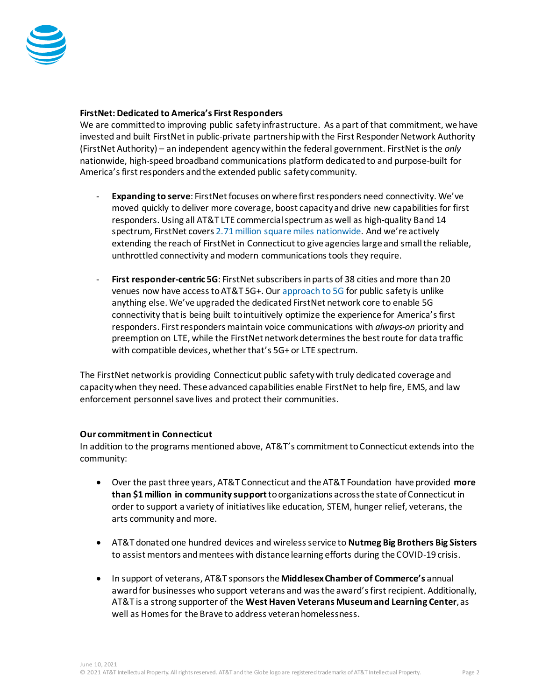

## **FirstNet: Dedicated to America's First Responders**

We are committed to improving public safety infrastructure. As a part of that commitment, we have invested and built FirstNetin public-private partnership with the First Responder Network Authority (FirstNet Authority) – an independent agency within the federal government. FirstNet is the *only* nationwide, high-speed broadband communications platform dedicated to and purpose-built for America's first responders and the extended public safety community.

- **Expanding to serve**: FirstNet focuses on where first responders need connectivity. We've moved quickly to deliver more coverage, boost capacity and drive new capabilities for first responders. Using all AT&T LTE commercial spectrum as well as high-quality Band 14 spectrum, FirstNet cover[s 2.71 million square miles nationwide.](https://about.att.com/story/2021/fn_expands.html) And we're actively extending the reach of FirstNet in Connecticut to give agencies large and small the reliable, unthrottled connectivity and modern communications tools they require.
- **First responder-centric 5G**: FirstNet subscribers in parts of 38 cities and more than 20 venues now have access to AT&T 5G+. Our [approach to 5G](https://about.att.com/story/2021/fn_5g.html) for public safety is unlike anything else. We've upgraded the dedicated FirstNet network core to enable 5G connectivity that is being built to intuitively optimize the experience for America's first responders. First responders maintain voice communications with *always-on* priority and preemption on LTE, while the FirstNet network determines the best route for data traffic with compatible devices, whether that's 5G+ or LTE spectrum.

The FirstNet network is providing Connecticut public safety with truly dedicated coverage and capacity when they need. These advanced capabilities enable FirstNet to help fire, EMS, and law enforcement personnel save lives and protect their communities.

## **Our commitment in Connecticut**

In addition to the programs mentioned above, AT&T's commitment to Connecticut extends into the community:

- Over the past three years, AT&T Connecticut and the AT&T Foundation have provided **more than \$1 million in community support**to organizations across the state of Connecticut in order to support a variety of initiatives like education, STEM, hunger relief, veterans, the arts community and more.
- AT&T donated one hundred devices and wireless service to **Nutmeg Big Brothers Big Sisters** to assist mentors and mentees with distance learning efforts during the COVID-19 crisis.
- In support of veterans, AT&T sponsors the **Middlesex Chamber of Commerce's** annual award for businesses who support veterans and was the award's first recipient. Additionally, AT&T is a strong supporter of the **West Haven Veterans Museum and Learning Center**, as well as Homes for the Brave to address veteran homelessness.